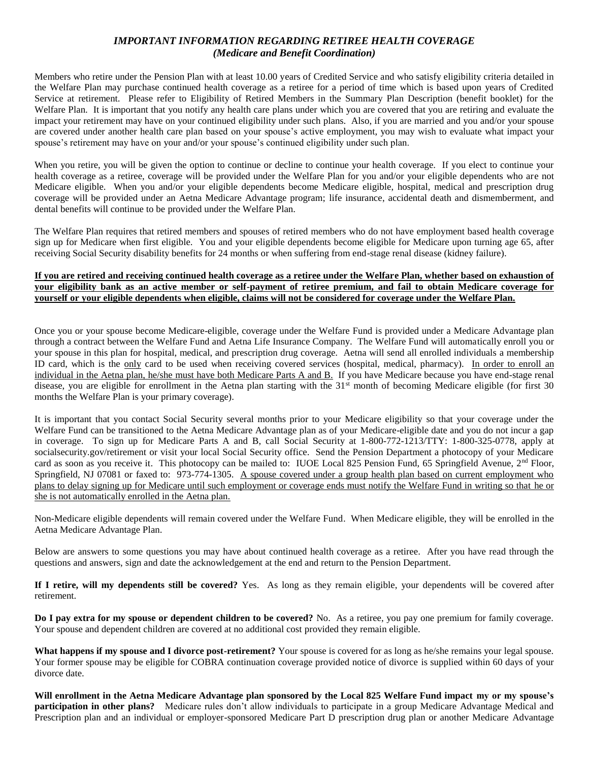## *IMPORTANT INFORMATION REGARDING RETIREE HEALTH COVERAGE (Medicare and Benefit Coordination)*

Members who retire under the Pension Plan with at least 10.00 years of Credited Service and who satisfy eligibility criteria detailed in the Welfare Plan may purchase continued health coverage as a retiree for a period of time which is based upon years of Credited Service at retirement. Please refer to Eligibility of Retired Members in the Summary Plan Description (benefit booklet) for the Welfare Plan. It is important that you notify any health care plans under which you are covered that you are retiring and evaluate the impact your retirement may have on your continued eligibility under such plans. Also, if you are married and you and/or your spouse are covered under another health care plan based on your spouse's active employment, you may wish to evaluate what impact your spouse's retirement may have on your and/or your spouse's continued eligibility under such plan.

When you retire, you will be given the option to continue or decline to continue your health coverage. If you elect to continue your health coverage as a retiree, coverage will be provided under the Welfare Plan for you and/or your eligible dependents who are not Medicare eligible. When you and/or your eligible dependents become Medicare eligible, hospital, medical and prescription drug coverage will be provided under an Aetna Medicare Advantage program; life insurance, accidental death and dismemberment, and dental benefits will continue to be provided under the Welfare Plan.

The Welfare Plan requires that retired members and spouses of retired members who do not have employment based health coverage sign up for Medicare when first eligible. You and your eligible dependents become eligible for Medicare upon turning age 65, after receiving Social Security disability benefits for 24 months or when suffering from end-stage renal disease (kidney failure).

## **If you are retired and receiving continued health coverage as a retiree under the Welfare Plan, whether based on exhaustion of your eligibility bank as an active member or self-payment of retiree premium, and fail to obtain Medicare coverage for yourself or your eligible dependents when eligible, claims will not be considered for coverage under the Welfare Plan.**

Once you or your spouse become Medicare-eligible, coverage under the Welfare Fund is provided under a Medicare Advantage plan through a contract between the Welfare Fund and Aetna Life Insurance Company. The Welfare Fund will automatically enroll you or your spouse in this plan for hospital, medical, and prescription drug coverage. Aetna will send all enrolled individuals a membership ID card, which is the only card to be used when receiving covered services (hospital, medical, pharmacy). In order to enroll an individual in the Aetna plan, he/she must have both Medicare Parts A and B. If you have Medicare because you have end-stage renal disease, you are eligible for enrollment in the Aetna plan starting with the 31<sup>st</sup> month of becoming Medicare eligible (for first 30 months the Welfare Plan is your primary coverage).

It is important that you contact Social Security several months prior to your Medicare eligibility so that your coverage under the Welfare Fund can be transitioned to the Aetna Medicare Advantage plan as of your Medicare-eligible date and you do not incur a gap in coverage. To sign up for Medicare Parts A and B, call Social Security at 1-800-772-1213/TTY: 1-800-325-0778, apply at socialsecurity.gov/retirement or visit your local Social Security office. Send the Pension Department a photocopy of your Medicare card as soon as you receive it. This photocopy can be mailed to: IUOE Local 825 Pension Fund, 65 Springfield Avenue,  $2<sup>nd</sup>$  Floor, Springfield, NJ 07081 or faxed to: 973-774-1305. A spouse covered under a group health plan based on current employment who plans to delay signing up for Medicare until such employment or coverage ends must notify the Welfare Fund in writing so that he or she is not automatically enrolled in the Aetna plan.

Non-Medicare eligible dependents will remain covered under the Welfare Fund. When Medicare eligible, they will be enrolled in the Aetna Medicare Advantage Plan.

Below are answers to some questions you may have about continued health coverage as a retiree. After you have read through the questions and answers, sign and date the acknowledgement at the end and return to the Pension Department.

**If I retire, will my dependents still be covered?** Yes. As long as they remain eligible, your dependents will be covered after retirement.

**Do I pay extra for my spouse or dependent children to be covered?** No. As a retiree, you pay one premium for family coverage. Your spouse and dependent children are covered at no additional cost provided they remain eligible.

**What happens if my spouse and I divorce post-retirement?** Your spouse is covered for as long as he/she remains your legal spouse. Your former spouse may be eligible for COBRA continuation coverage provided notice of divorce is supplied within 60 days of your divorce date.

**Will enrollment in the Aetna Medicare Advantage plan sponsored by the Local 825 Welfare Fund impact my or my spouse's participation in other plans?** Medicare rules don't allow individuals to participate in a group Medicare Advantage Medical and Prescription plan and an individual or employer-sponsored Medicare Part D prescription drug plan or another Medicare Advantage